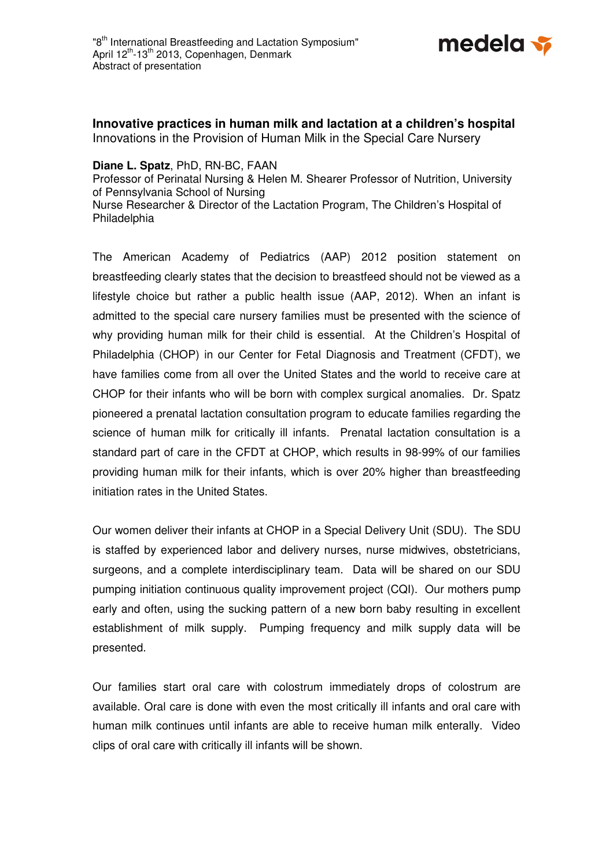

**Innovative practices in human milk and lactation at a children's hospital**  Innovations in the Provision of Human Milk in the Special Care Nursery

## **Diane L. Spatz**, PhD, RN-BC, FAAN

Professor of Perinatal Nursing & Helen M. Shearer Professor of Nutrition, University of Pennsylvania School of Nursing Nurse Researcher & Director of the Lactation Program, The Children's Hospital of Philadelphia

The American Academy of Pediatrics (AAP) 2012 position statement on breastfeeding clearly states that the decision to breastfeed should not be viewed as a lifestyle choice but rather a public health issue (AAP, 2012). When an infant is admitted to the special care nursery families must be presented with the science of why providing human milk for their child is essential. At the Children's Hospital of Philadelphia (CHOP) in our Center for Fetal Diagnosis and Treatment (CFDT), we have families come from all over the United States and the world to receive care at CHOP for their infants who will be born with complex surgical anomalies. Dr. Spatz pioneered a prenatal lactation consultation program to educate families regarding the science of human milk for critically ill infants. Prenatal lactation consultation is a standard part of care in the CFDT at CHOP, which results in 98-99% of our families providing human milk for their infants, which is over 20% higher than breastfeeding initiation rates in the United States.

Our women deliver their infants at CHOP in a Special Delivery Unit (SDU). The SDU is staffed by experienced labor and delivery nurses, nurse midwives, obstetricians, surgeons, and a complete interdisciplinary team. Data will be shared on our SDU pumping initiation continuous quality improvement project (CQI). Our mothers pump early and often, using the sucking pattern of a new born baby resulting in excellent establishment of milk supply. Pumping frequency and milk supply data will be presented.

Our families start oral care with colostrum immediately drops of colostrum are available. Oral care is done with even the most critically ill infants and oral care with human milk continues until infants are able to receive human milk enterally. Video clips of oral care with critically ill infants will be shown.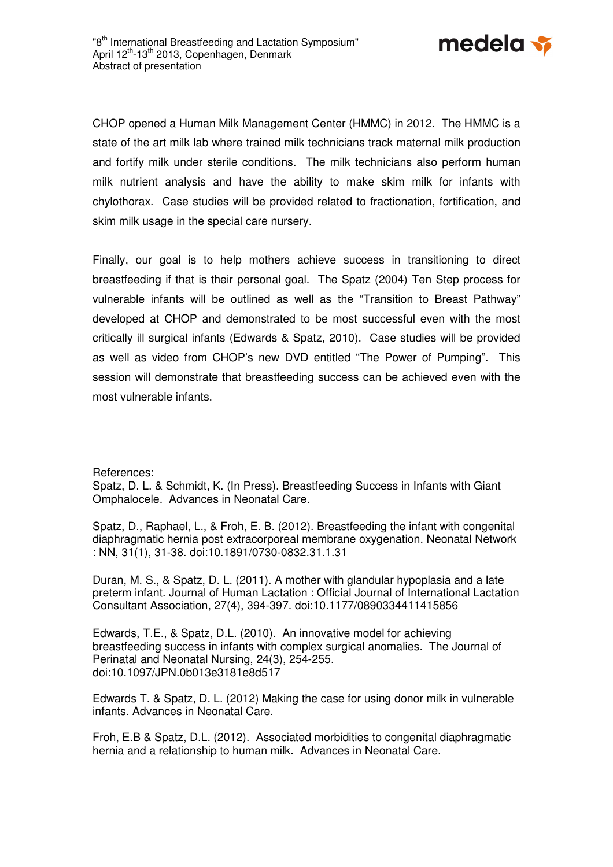

CHOP opened a Human Milk Management Center (HMMC) in 2012. The HMMC is a state of the art milk lab where trained milk technicians track maternal milk production and fortify milk under sterile conditions. The milk technicians also perform human milk nutrient analysis and have the ability to make skim milk for infants with chylothorax. Case studies will be provided related to fractionation, fortification, and skim milk usage in the special care nursery.

Finally, our goal is to help mothers achieve success in transitioning to direct breastfeeding if that is their personal goal. The Spatz (2004) Ten Step process for vulnerable infants will be outlined as well as the "Transition to Breast Pathway" developed at CHOP and demonstrated to be most successful even with the most critically ill surgical infants (Edwards & Spatz, 2010). Case studies will be provided as well as video from CHOP's new DVD entitled "The Power of Pumping". This session will demonstrate that breastfeeding success can be achieved even with the most vulnerable infants.

References:

Spatz, D. L. & Schmidt, K. (In Press). Breastfeeding Success in Infants with Giant Omphalocele. Advances in Neonatal Care.

Spatz, D., Raphael, L., & Froh, E. B. (2012). Breastfeeding the infant with congenital diaphragmatic hernia post extracorporeal membrane oxygenation. Neonatal Network : NN, 31(1), 31-38. doi:10.1891/0730-0832.31.1.31

Duran, M. S., & Spatz, D. L. (2011). A mother with glandular hypoplasia and a late preterm infant. Journal of Human Lactation : Official Journal of International Lactation Consultant Association, 27(4), 394-397. doi:10.1177/0890334411415856

Edwards, T.E., & Spatz, D.L. (2010). An innovative model for achieving breastfeeding success in infants with complex surgical anomalies. The Journal of Perinatal and Neonatal Nursing, 24(3), 254-255. doi:10.1097/JPN.0b013e3181e8d517

Edwards T. & Spatz, D. L. (2012) Making the case for using donor milk in vulnerable infants. Advances in Neonatal Care.

Froh, E.B & Spatz, D.L. (2012). Associated morbidities to congenital diaphragmatic hernia and a relationship to human milk. Advances in Neonatal Care.